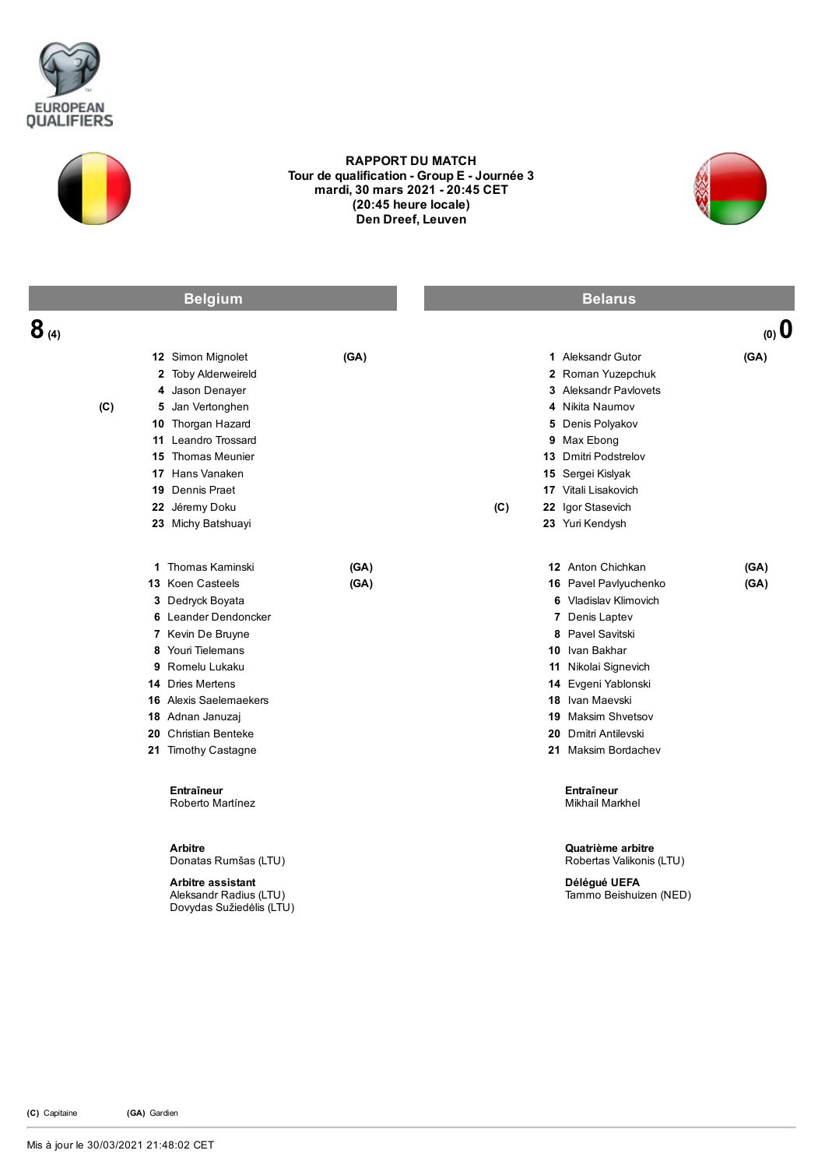



## RAPPORT DU MATCH Tour de qualification - Group E - Journée 3 mardi, 30 mars 2021 20:45 CET (20:45 heure locale) Den Dreef, Leuven



| <b>Belgium</b>               |                                                                                                                                                                                                                                                                        |              | <b>Belarus</b> |                                                                                                                                                                                                                                                                    |              |  |
|------------------------------|------------------------------------------------------------------------------------------------------------------------------------------------------------------------------------------------------------------------------------------------------------------------|--------------|----------------|--------------------------------------------------------------------------------------------------------------------------------------------------------------------------------------------------------------------------------------------------------------------|--------------|--|
| $8_{\scriptscriptstyle (4)}$ |                                                                                                                                                                                                                                                                        |              |                |                                                                                                                                                                                                                                                                    | $(0)$ $(0)$  |  |
| (C)                          | 12 Simon Mignolet<br>2 Toby Alderweireld<br>4 Jason Denayer<br>5 Jan Vertonghen<br>10 Thorgan Hazard<br>11 Leandro Trossard<br><b>15</b> Thomas Meunier<br>17 Hans Vanaken<br>19 Dennis Praet<br>22 Jéremy Doku<br>23 Michy Batshuayi                                  | (GA)         | (C)            | 1 Aleksandr Gutor<br>2 Roman Yuzepchuk<br><b>3</b> Aleksandr Pavlovets<br>4 Nikita Naumov<br>5 Denis Polyakov<br>9 Max Ebong<br>13 Dmitri Podstrelov<br>15 Sergei Kislyak<br>17 Vitali Lisakovich<br>22 Igor Stasevich<br>23 Yuri Kendysh                          | (GA)         |  |
|                              | 1 Thomas Kaminski<br>13 Koen Casteels<br>3 Dedryck Boyata<br>6 Leander Dendoncker<br>7 Kevin De Bruyne<br>8 Youri Tielemans<br>9 Romelu Lukaku<br>14 Dries Mertens<br><b>16</b> Alexis Saelemaekers<br>18 Adnan Januzaj<br>20 Christian Benteke<br>21 Timothy Castagne | (GA)<br>(GA) |                | 12 Anton Chichkan<br>16 Pavel Pavlyuchenko<br>6 Vladislav Klimovich<br>7 Denis Laptev<br>8 Pavel Savitski<br>10 Ivan Bakhar<br>11 Nikolai Signevich<br>14 Evgeni Yablonski<br>18 Ivan Maevski<br>19 Maksim Shvetsov<br>20 Dmitri Antilevski<br>21 Maksim Bordachev | (GA)<br>(GA) |  |
|                              | <b>Entraîneur</b><br>Roberto Martínez<br><b>Arbitre</b><br>Donatas Rumšas (LTU)<br><b>Arbitre assistant</b><br>Aleksandr Radius (LTU)<br>Dovydas Sužiedėlis (LTU)                                                                                                      |              |                | Entraîneur<br><b>Mikhail Markhel</b><br>Quatrième arbitre<br>Robertas Valikonis (LTU)<br>Délégué UEFA<br>Tammo Beishuizen (NED)                                                                                                                                    |              |  |

(C) Capitaine (GA) Gardien